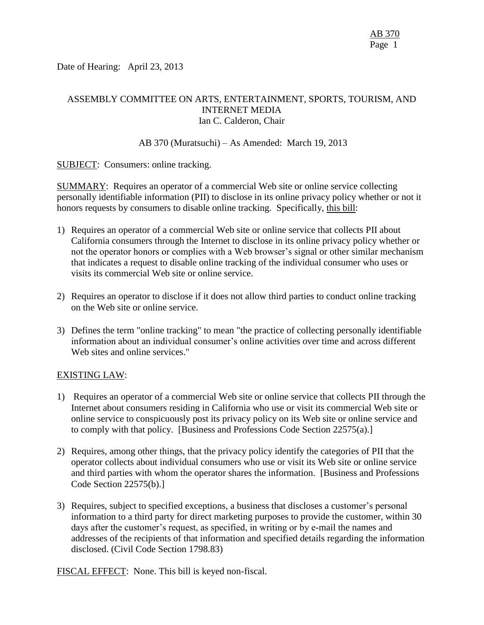Date of Hearing: April 23, 2013

# ASSEMBLY COMMITTEE ON ARTS, ENTERTAINMENT, SPORTS, TOURISM, AND INTERNET MEDIA Ian C. Calderon, Chair

## AB 370 (Muratsuchi) – As Amended: March 19, 2013

## SUBJECT: Consumers: online tracking.

SUMMARY: Requires an operator of a commercial Web site or online service collecting personally identifiable information (PII) to disclose in its online privacy policy whether or not it honors requests by consumers to disable online tracking. Specifically, this bill:

- 1) Requires an operator of a commercial Web site or online service that collects PII about California consumers through the Internet to disclose in its online privacy policy whether or not the operator honors or complies with a Web browser's signal or other similar mechanism that indicates a request to disable online tracking of the individual consumer who uses or visits its commercial Web site or online service.
- 2) Requires an operator to disclose if it does not allow third parties to conduct online tracking on the Web site or online service.
- 3) Defines the term "online tracking" to mean "the practice of collecting personally identifiable information about an individual consumer's online activities over time and across different Web sites and online services."

### EXISTING LAW:

- 1) Requires an operator of a commercial Web site or online service that collects PII through the Internet about consumers residing in California who use or visit its commercial Web site or online service to conspicuously post its privacy policy on its Web site or online service and to comply with that policy. [Business and Professions Code Section 22575(a).]
- 2) Requires, among other things, that the privacy policy identify the categories of PII that the operator collects about individual consumers who use or visit its Web site or online service and third parties with whom the operator shares the information. [Business and Professions Code Section 22575(b).]
- 3) Requires, subject to specified exceptions, a business that discloses a customer's personal information to a third party for direct marketing purposes to provide the customer, within 30 days after the customer's request, as specified, in writing or by e-mail the names and addresses of the recipients of that information and specified details regarding the information disclosed. (Civil Code Section 1798.83)

FISCAL EFFECT: None. This bill is keyed non-fiscal.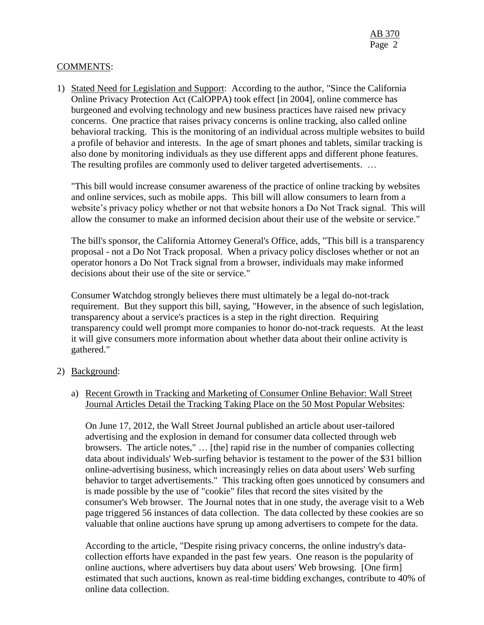## COMMENTS:

1) Stated Need for Legislation and Support: According to the author, "Since the California Online Privacy Protection Act (CalOPPA) took effect [in 2004], online commerce has burgeoned and evolving technology and new business practices have raised new privacy concerns. One practice that raises privacy concerns is online tracking, also called online behavioral tracking. This is the monitoring of an individual across multiple websites to build a profile of behavior and interests. In the age of smart phones and tablets, similar tracking is also done by monitoring individuals as they use different apps and different phone features. The resulting profiles are commonly used to deliver targeted advertisements. …

"This bill would increase consumer awareness of the practice of online tracking by websites and online services, such as mobile apps. This bill will allow consumers to learn from a website's privacy policy whether or not that website honors a Do Not Track signal. This will allow the consumer to make an informed decision about their use of the website or service."

The bill's sponsor, the California Attorney General's Office, adds, "This bill is a transparency proposal - not a Do Not Track proposal. When a privacy policy discloses whether or not an operator honors a Do Not Track signal from a browser, individuals may make informed decisions about their use of the site or service."

Consumer Watchdog strongly believes there must ultimately be a legal do-not-track requirement. But they support this bill, saying, "However, in the absence of such legislation, transparency about a service's practices is a step in the right direction. Requiring transparency could well prompt more companies to honor do-not-track requests. At the least it will give consumers more information about whether data about their online activity is gathered."

### 2) Background:

## a) Recent Growth in Tracking and Marketing of Consumer Online Behavior: Wall Street Journal Articles Detail the Tracking Taking Place on the 50 Most Popular Websites:

On June 17, 2012, the Wall Street Journal published an article about user-tailored advertising and the explosion in demand for consumer data collected through web browsers. The article notes," … [the] rapid rise in the number of companies collecting data about individuals' Web-surfing behavior is testament to the power of the \$31 billion online-advertising business, which increasingly relies on data about users' Web surfing behavior to target advertisements." This tracking often goes unnoticed by consumers and is made possible by the use of "cookie" files that record the sites visited by the consumer's Web browser. The Journal notes that in one study, the average visit to a Web page triggered 56 instances of data collection. The data collected by these cookies are so valuable that online auctions have sprung up among advertisers to compete for the data.

According to the article, "Despite rising privacy concerns, the online industry's datacollection efforts have expanded in the past few years. One reason is the popularity of online auctions, where advertisers buy data about users' Web browsing. [One firm] estimated that such auctions, known as real-time bidding exchanges, contribute to 40% of online data collection.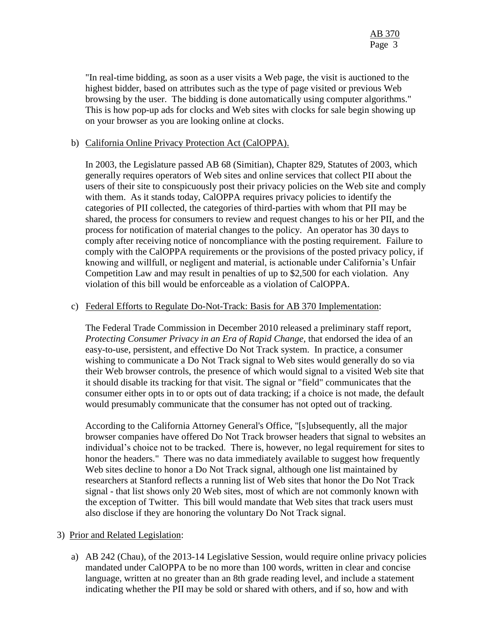"In real-time bidding, as soon as a user visits a Web page, the visit is auctioned to the highest bidder, based on attributes such as the type of page visited or previous Web browsing by the user. The bidding is done automatically using computer algorithms." This is how pop-up ads for clocks and Web sites with clocks for sale begin showing up on your browser as you are looking online at clocks.

## b) California Online Privacy Protection Act (CalOPPA).

In 2003, the Legislature passed AB 68 (Simitian), Chapter 829, Statutes of 2003, which generally requires operators of Web sites and online services that collect PII about the users of their site to conspicuously post their privacy policies on the Web site and comply with them. As it stands today, CalOPPA requires privacy policies to identify the categories of PII collected, the categories of third-parties with whom that PII may be shared, the process for consumers to review and request changes to his or her PII, and the process for notification of material changes to the policy. An operator has 30 days to comply after receiving notice of noncompliance with the posting requirement. Failure to comply with the CalOPPA requirements or the provisions of the posted privacy policy, if knowing and willfull, or negligent and material, is actionable under California's Unfair Competition Law and may result in penalties of up to \$2,500 for each violation. Any violation of this bill would be enforceable as a violation of CalOPPA.

## c) Federal Efforts to Regulate Do-Not-Track: Basis for AB 370 Implementation:

The Federal Trade Commission in December 2010 released a preliminary staff report, *Protecting Consumer Privacy in an Era of Rapid Change,* that endorsed the idea of an easy-to-use, persistent, and effective Do Not Track system. In practice, a consumer wishing to communicate a Do Not Track signal to Web sites would generally do so via their Web browser controls, the presence of which would signal to a visited Web site that it should disable its tracking for that visit. The signal or "field" communicates that the consumer either opts in to or opts out of data tracking; if a choice is not made, the default would presumably communicate that the consumer has not opted out of tracking.

According to the California Attorney General's Office, "[s]ubsequently, all the major browser companies have offered Do Not Track browser headers that signal to websites an individual's choice not to be tracked. There is, however, no legal requirement for sites to honor the headers." There was no data immediately available to suggest how frequently Web sites decline to honor a Do Not Track signal, although one list maintained by researchers at Stanford reflects a running list of Web sites that honor the Do Not Track signal - that list shows only 20 Web sites, most of which are not commonly known with the exception of Twitter. This bill would mandate that Web sites that track users must also disclose if they are honoring the voluntary Do Not Track signal.

### 3) Prior and Related Legislation:

a) AB 242 (Chau), of the 2013-14 Legislative Session, would require online privacy policies mandated under CalOPPA to be no more than 100 words, written in clear and concise language, written at no greater than an 8th grade reading level, and include a statement indicating whether the PII may be sold or shared with others, and if so, how and with